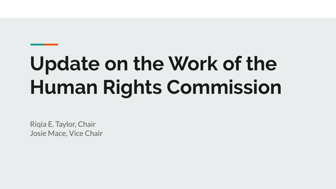# **Update on the Work of the Human Rights Commission**

Riqia E. Taylor, Chair Josie Mace, Vice Chair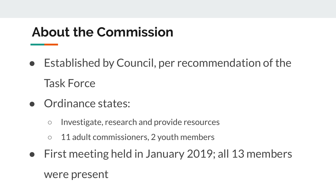## **About the Commission**

- Established by Council, per recommendation of the Task Force
- Ordinance states:
	- Investigate, research and provide resources
	- 11 adult commissioners, 2 youth members
- First meeting held in January 2019; all 13 members were present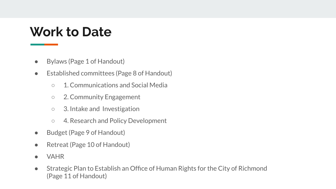#### **Work to Date**

- Bylaws (Page 1 of Handout)
- Established committees (Page 8 of Handout)
	- 1. Communications and Social Media
	- 2. Community Engagement
	- 3. Intake and Investigation
	- 4. Research and Policy Development
- Budget (Page 9 of Handout)
- Retreat (Page 10 of Handout)
- **VAHR**
- Strategic Plan to Establish an Office of Human Rights for the City of Richmond (Page 11 of Handout)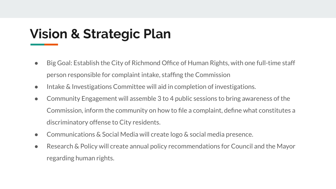## **Vision & Strategic Plan**

- Big Goal: Establish the City of Richmond Office of Human Rights, with one full-time staff person responsible for complaint intake, staffing the Commission
- Intake & Investigations Committee will aid in completion of investigations.
- Community Engagement will assemble 3 to 4 public sessions to bring awareness of the Commission, inform the community on how to file a complaint, define what constitutes a discriminatory offense to City residents.
- Communications & Social Media will create logo & social media presence.
- Research & Policy will create annual policy recommendations for Council and the Mayor regarding human rights.